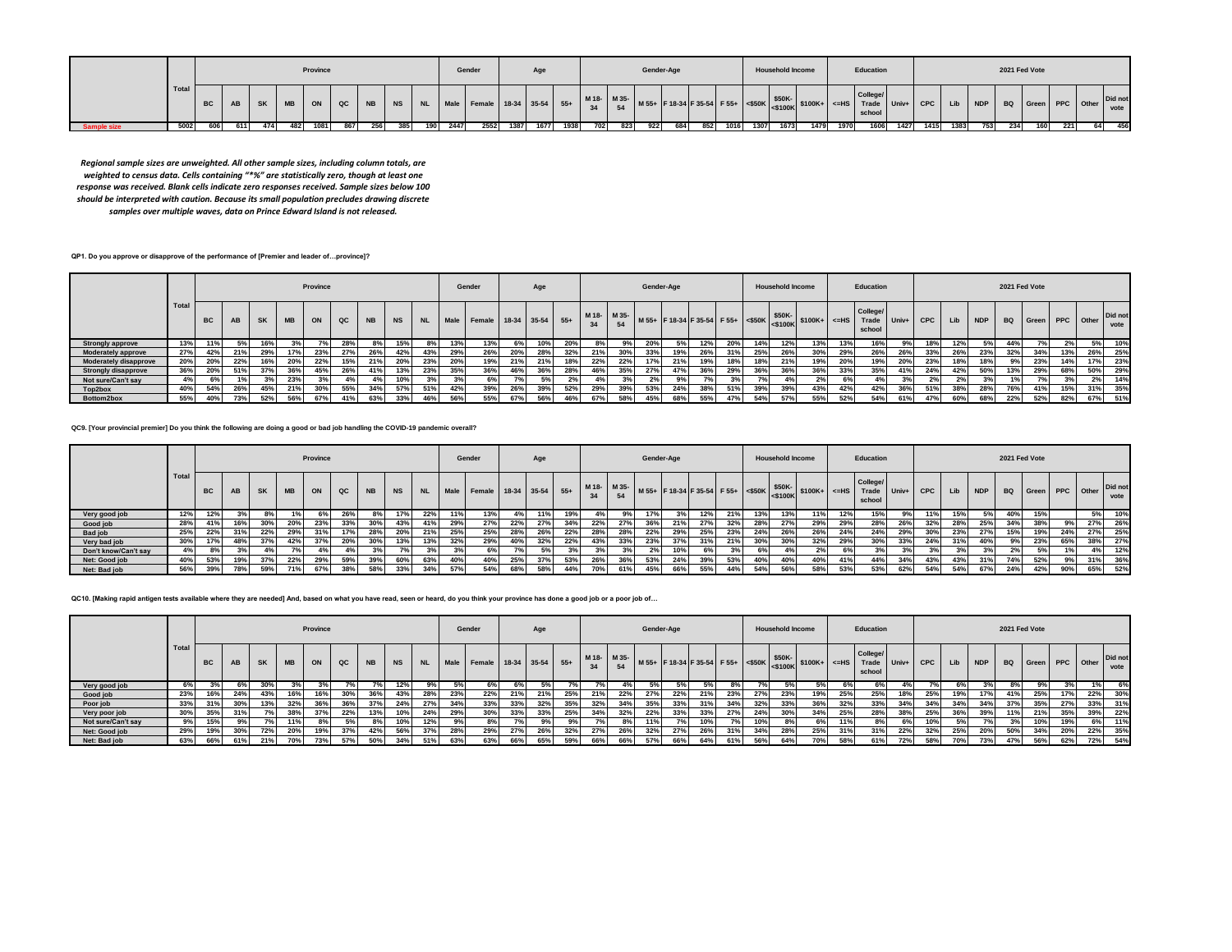|  |       |           |      |     |     | Province |            |     |     |      | Gender                                                                 |      |      |      |     |     |     | Gender-Age |     |      |      | <b>Household Income</b> |      |      | Education          |           |          |     | 2021 Fed Vote |     |     |
|--|-------|-----------|------|-----|-----|----------|------------|-----|-----|------|------------------------------------------------------------------------|------|------|------|-----|-----|-----|------------|-----|------|------|-------------------------|------|------|--------------------|-----------|----------|-----|---------------|-----|-----|
|  | Total | <b>BC</b> | AB I |     |     |          |            |     |     |      | SK   MB   ON   QC   NB   NS   NL   Male   Female   18-34   35-54   55+ |      |      |      |     |     |     |            |     |      |      |                         |      |      | College/<br>school |           |          |     |               |     |     |
|  | 5002  | 606       | 611  | 474 | 482 | 1081     | 867<br>256 | 385 | 190 | 2447 | 2552                                                                   | 1387 | 1677 | 1938 | 702 | 823 | 922 | 684        | 852 | 1016 | 1307 | 1673                    | 1479 | 1970 | 1606               | 1427 1415 | 1383 753 | 234 | 160           | 221 | 456 |

*Regional sample sizes are unweighted. All other sample sizes, including column totals, are weighted to census data. Cells containing "\*%" are statistically zero, though at least one response was received. Blank cells indicate zero responses received. Sample sizes below 100 should be interpreted with caution. Because its small population precludes drawing discrete samples over multiple waves, data on Prince Edward Island is not released.*

**QP1. Do you approve or disapprove of the performance of [Premier and leader of…province]?**

|                              |       |           |     |           |           | Province |             |           |           |           |      | Gender                 |     | Age |     |             |     | Gender-Age |     |     |     |     | <b>Household Income</b> |                                                                 |              | Education                   |         |            |     |            |           | 2021 Fed Vote |           |     |                 |
|------------------------------|-------|-----------|-----|-----------|-----------|----------|-------------|-----------|-----------|-----------|------|------------------------|-----|-----|-----|-------------|-----|------------|-----|-----|-----|-----|-------------------------|-----------------------------------------------------------------|--------------|-----------------------------|---------|------------|-----|------------|-----------|---------------|-----------|-----|-----------------|
|                              | Total | <b>BC</b> | AB  | <b>SK</b> | <b>MB</b> | ON       | $_{\rm QC}$ | <b>NB</b> | <b>NS</b> | <b>NL</b> | Male | Female 18-34 35-54 55+ |     |     |     | M 18- M 35- |     |            |     |     |     |     |                         | $\frac{1}{2}$   M 55+ F 18-34 F 35-54 F 55+ S 50K S 50K S 100K+ | $\vert$ <=HS | College/<br>Trade<br>school | $Univ+$ | <b>CPC</b> | Lib | <b>NDP</b> | <b>BQ</b> | Green         | PPC Other |     | Did not<br>vote |
| <b>Strongly approve</b>      | 13%   |           |     | 16%       |           |          | 28%         |           | 15%       | 8% l      | 13%  | 13%                    | 69  | 10% | 20% |             | 9%  | 20%        | 5%  | 12% | 20% |     | 12%                     | 13%                                                             | 13%          | 16%                         |         | 18%        |     |            | 44%       |               |           | 5%  | 10%             |
| <b>Moderately approve</b>    | 27%   | 42%       | 21% | 29%       | 17%       | 23%      | 27%         | 26%       | 42%       | 43%       | 29%  | 26%                    | 20% |     | 32% | 21%         | 30% | 33%        | 19% | 26% | 31% | 25% | 26%                     | 30%                                                             | 29%          | 26%                         | 26%     | 33%        |     | 23%        | 32%       | 34%           | 13%       | 26% | 25%             |
| <b>Moderately disapprove</b> | 20%   | 20%       | 22% | 16%       | 20%       | 22%      | 15%         | 21%       | 20%       | 23%       | 20%  | 19%                    | 21% | 21% | 18% | 22%         | 22% | 17%        | 21% | 19% | 18% | 18% | 21%                     | 19%                                                             | 20%          | 19%                         | 20%     | 23%        | 18% | 18%        | 9%        | 23%           | 14%       | 17% | 23%             |
| <b>Strongly disapprove</b>   | 36%   | 20%       | 51% | 37%       | 36%       | 45%      | 26%         | 41%       | 13%       | 23%       | 35%  | 36%                    |     | 36% | 28% | 46%         | 35% | 27%        | 47% | 36% | 29% | 36% | 36%                     | 36%                                                             | 33%          | 35%                         | 41%     | 24%        | 42% | 50%        | 13%       | 29%           | 68%       | 50% | 29%             |
| Not sure/Can't say           | 4%    | 6%        |     | 3%        | 23%       |          |             | $4\%$     | 10%       | 3%        |      |                        |     | 5%  |     |             |     | 2%         |     |     |     |     |                         |                                                                 |              |                             |         |            | 2%  |            |           |               |           | 2%  | 14%             |
| Top2box                      | 40%   | 54%       | 26% | 45%       | 21%       | 30%      | 55%         | 34%       | 57%       | 51%       | 42%  | 39%                    | 26% | 39% | 52% | 29%         | 39% | 53%        | 24% | 38% | 51% | 39% | 39%                     | 43%                                                             | 42%          | 42%                         | 36%     | 51%        | 38% | 28%        | 76%       | 41%           | 15%       | 31% | 35%             |
| Bottom2box                   | 55%   |           | 73% | 52%       | 56%       | 67%      | 41%         | 63%       | 33%       | 46%       | 56%  | 55%                    | 67% | 56% | 46% | 67%         | 58% | 45%        | 68% | 55% | 47% | 54% | 57%                     | 55%                                                             | 52%          | 54%                         | 61%     |            | 60% | 68%        | 22%       | 52%           | 82%       | 67% | 51%             |

**QC9. [Your provincial premier] Do you think the following are doing a good or bad job handling the COVID-19 pandemic overall?**

|                      |       |           |     |           |           | Province |               |           |           |           |      | Gender                 |     | Age |     |             |     | Gender-Age |                                            |     |     |     | <b>Household Income</b> |                |     | Education                   |           |            |     |            |     | 2021 Fed Vote      |     |    |                 |
|----------------------|-------|-----------|-----|-----------|-----------|----------|---------------|-----------|-----------|-----------|------|------------------------|-----|-----|-----|-------------|-----|------------|--------------------------------------------|-----|-----|-----|-------------------------|----------------|-----|-----------------------------|-----------|------------|-----|------------|-----|--------------------|-----|----|-----------------|
|                      | Total | <b>BC</b> | AB  | <b>SK</b> | <b>MB</b> | ON       | $_{\alpha c}$ | <b>NB</b> | <b>NS</b> | <b>NL</b> | Male | Female 18-34 35-54 55+ |     |     |     | M 18- M 35- |     |            | M 55+ F 18-34 F 35-54 F 55+ <\$50K \\$50K- |     |     |     |                         | $ $100K+$ <=HS |     | College/<br>Trade<br>school | $ $ Univ+ | <b>CPC</b> | Lib | <b>NDP</b> |     | BQ Green PPC Other |     |    | Did not<br>vote |
| Very good job        | 12%   | 12%       |     | 8%        |           | 6%       | 26%           | 8%        | 17%       | 22%       | 11%  | 13%                    | 4%  |     | 19% | 4%          | 9%  | 17%        |                                            | 12% | 21% | 13% | 13%                     | 11%            | 12% | 15%                         | 9%        | 11%        | 15% |            | 40% | 15%                |     | 5% | 10%             |
| Good job             | 28%   | 41%       | 16% | 30%       | 20%       | 23%      | 33%           | 30%       | 43%       | 41%       | 29%  | 27%                    | 22% | 27% | 34% | 22%         | 27% | 36%        | 21%                                        | 27% | 32% | 28% |                         | 29%            | 29% | 28%                         | 26%       | 32%        | 28% | 25%        | 34% | 38%                | 9%  |    | 27% 26%         |
| <b>Bad job</b>       | 25%   | 22%       | 31% | 22%       | 29%       |          |               | 28%       | 20%       | 21%       | 25%  | 25%                    | 28% | 26% | 22% | 28%         | 28% | 22%        | 29%                                        | 25% | 23% | 24% | 26%                     | 26%            | 24% | 24%                         | 29%       | 30%        | 23% | 27%        | 15% | 19%                | 24% |    | 27% 25%         |
| Very bad job         | 30%   | 17%       | 48% | 37%       | 42%       | 37%      |               | 30%       | 13%       | 13%       | 32%  | 29%                    | 40% | 32% | 22% | 43%         | 33% | 23%        | 37%                                        | 31% | 21% | 30% | 30%                     | 32%            | 29% | 30%                         | 33%       | 24%        | 31% | 40%        |     | 23%                | 65% |    | 38% 27%         |
| Don't know/Can't say | 4%    |           |     |           | 7%        |          | 4%            | 3%        |           |           |      | 6%                     | r%  |     |     | 3%          |     | 2%         | 10%                                        |     | 3%  |     |                         | 2%             |     |                             |           | 20/        | 3%  | 3%         | 2%  | 5%                 |     | 4% | 12%             |
| Net: Good job        | 40%   | 53%       | 19% | 37%       | 22%       | 29%      | 59%           | 39%       | 60%       | 63%       | 40%  | 40%                    | 25% | 37% | 53% | 26%         | 36% | 53%        | 24%                                        | 39% | 53% | 40% |                         | 40%            | 41% | 44%                         | 34%       | 43%        | 43% | 31%        | 74% | 52%                | 9%  |    | 31% 36%         |
| Net: Bad job         | 56%   | 39%       | 78% | 59%       | 71%       | 67%      | 38%           | 58%       | 33%       | 34%       | 57%  | 54%                    | 68% | 58% | 44% | 70%         | 61% | 45%        | 66%                                        | 55% | 44% | 54% | 56%                     | 58%            | 53% | 53%                         | 62%       | 54%        | 54% | 67%        | 24% | 42%                | 90% |    | 65% 52%         |

**QC10. [Making rapid antigen tests available where they are needed] And, based on what you have read, seen or heard, do you think your province has done a good job or a poor job of…**

|                    |       |           |     |           |            | Province |     |           |           |                       |     | Gender      |     | Age             |     |                   |     |     | Gender-Age |     |     |     | <b>Household Income</b> |                                                                                                                                  |     | Education                   |       |            |     |            |     | 2021 Fed Vote      |     |     |                 |
|--------------------|-------|-----------|-----|-----------|------------|----------|-----|-----------|-----------|-----------------------|-----|-------------|-----|-----------------|-----|-------------------|-----|-----|------------|-----|-----|-----|-------------------------|----------------------------------------------------------------------------------------------------------------------------------|-----|-----------------------------|-------|------------|-----|------------|-----|--------------------|-----|-----|-----------------|
|                    | Total | <b>BC</b> | AB  | <b>SK</b> | <b>MB</b>  | ON       | QC  | <b>NB</b> | <b>NS</b> | <b>NL</b>             |     | Male Female |     | 18-34 35-54 55+ |     | M 18- M 35-<br>34 |     |     |            |     |     |     |                         | $\left  \text{M 55+} \right $ F 18-34 F 35-54 F 55+ $\left  \text{&$50K$-} \right $ \$500K $\left  \text{&$100K$+} \right $ <=HS |     | College/<br>Trade<br>school | Univ+ | <b>CPC</b> | Lib | <b>NDP</b> |     | BQ Green PPC Other |     |     | Did not<br>vote |
| Very good job      | 6%    |           | 6%  | 30%       |            |          |     |           | 12%       | $\mathbf{y}_{\alpha}$ |     | 6%          | 6%  | 5%              |     |                   |     |     |            |     |     |     |                         |                                                                                                                                  | 6%  | 6%                          |       |            |     |            |     |                    |     |     | 6%              |
| Good job           | 23%   | 16%       | 24% | 43%       | 16%        | 16%      | 30% | 36%       | 43%       |                       | 23% | 22%         | 21% | 21%             | 25% | 21%               | 22% | 27% | 22%        | 21% | 23% | 27% |                         | 19%                                                                                                                              | 25% | 25%                         | 18%   | 25%        | 19% | 17%        | 41% | 25%                |     | 22% | 30%             |
| Poor job           | 33%   |           | 30% | 13%       | 32%        | 36%      | 36% | 37%       | 24%       | 27%                   | 34% | 33%         | 33% | 32%             | 35% | 32%               | 34% | 35% | 33%        | 31% | 34% | 32% | 33%                     | 36%                                                                                                                              | 32% | 33%                         | 34%   | 34%        | 34% | 34%        | 37% | 35%                | 27% | 33% | 31%             |
| Very poor job      | 30%   |           | 31% |           | 38%        | 37%      | 22% | 13%       | 10%       | 24%                   | 29% | 30%         | 33% | 33%             | 25% | 34%               | 32% | 22% | 33%        | 33% | 27% | 24% |                         | 34%                                                                                                                              | 25% | 28%                         | 38%   | 25%        | 36% | 39%        | 11% | 21%                | 35% | 39% | 22%             |
| Not sure/Can't say | 9%    | 15%       |     |           |            |          |     |           | 10%       | 12%                   |     |             | 7%  |                 |     |                   |     |     | 70         |     |     | 10% |                         | 6%                                                                                                                               | 11% |                             |       | 10%        |     |            |     | 10%                |     | 6%  | 11%             |
| Net: Good job      | 29%   | 19%       | 30% | 72%       | 20%        | 19%      | 37% | 42%       | 56%       | 37%                   | 28% | 29%         | 27% | 26%             | 32% | 27%               | 26% | 32% | 27%        | 26% | 31% | 34% | 28%                     | 25%                                                                                                                              | 31% | 31%                         | 22%   | 32%        | 25% | 20%        | 50% | 34%                | 20% | 22% | 35%             |
| Net: Bad job       | 63%   | 66%       | 61% | 21%       | <b>70%</b> | 73%      | 57% |           |           | 51%                   | 63% | 63%         | 66% | 65%             | 59% | 66%               | 66% | 57% | 66%        |     | 61% | 56% |                         | 70%                                                                                                                              | 58% |                             | 72%   | 58%        |     | 73%        | 47% | 56%                | 62% | 72% | 54%             |